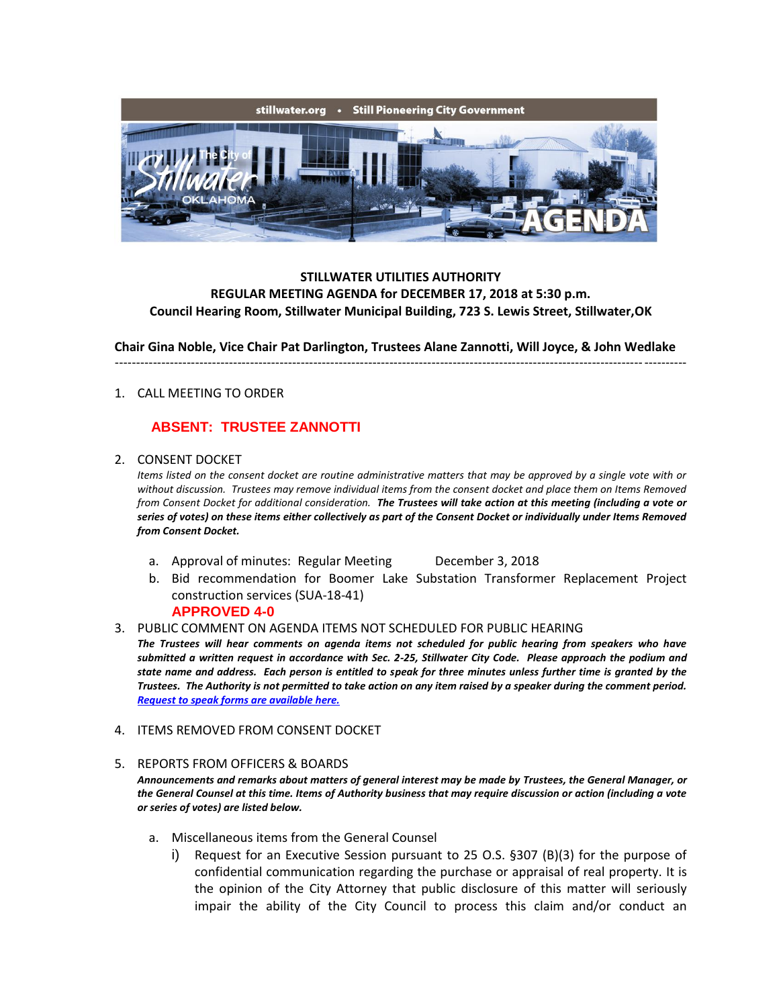

## **STILLWATER UTILITIES AUTHORITY REGULAR MEETING AGENDA for DECEMBER 17, 2018 at 5:30 p.m. Council Hearing Room, Stillwater Municipal Building, 723 S. Lewis Street, Stillwater,OK**

**Chair Gina Noble, Vice Chair Pat Darlington, Trustees Alane Zannotti, Will Joyce, & John Wedlake**

---------------------------------------------------------------------------------------------------------------------------------------

### 1. CALL MEETING TO ORDER

# **ABSENT: TRUSTEE ZANNOTTI**

#### 2. CONSENT DOCKET

*Items listed on the consent docket are routine administrative matters that may be approved by a single vote with or without discussion. Trustees may remove individual items from the consent docket and place them on Items Removed from Consent Docket for additional consideration. The Trustees will take action at this meeting (including a vote or series of votes) on these items either collectively as part of the Consent Docket or individually under Items Removed from Consent Docket.*

- a. Approval of minutes: Regular Meeting December 3, 2018
- b. Bid recommendation for Boomer Lake Substation Transformer Replacement Project construction services (SUA-18-41)

### **APPROVED 4-0**

3. PUBLIC COMMENT ON AGENDA ITEMS NOT SCHEDULED FOR PUBLIC HEARING

*The Trustees will hear comments on agenda items not scheduled for public hearing from speakers who have submitted a written request in accordance with Sec. 2-25, Stillwater City Code. Please approach the podium and state name and address. Each person is entitled to speak for three minutes unless further time is granted by the Trustees. The Authority is not permitted to take action on any item raised by a speaker during the comment period. [Request to speak forms are available here.](http://stillwater.org/document/request_to_speak_at_city_council.php)*

### 4. ITEMS REMOVED FROM CONSENT DOCKET

### 5. REPORTS FROM OFFICERS & BOARDS

*Announcements and remarks about matters of general interest may be made by Trustees, the General Manager, or the General Counsel at this time. Items of Authority business that may require discussion or action (including a vote or series of votes) are listed below.*

- a. Miscellaneous items from the General Counsel
	- i) Request for an Executive Session pursuant to 25 O.S. §307 (B)(3) for the purpose of confidential communication regarding the purchase or appraisal of real property. It is the opinion of the City Attorney that public disclosure of this matter will seriously impair the ability of the City Council to process this claim and/or conduct an